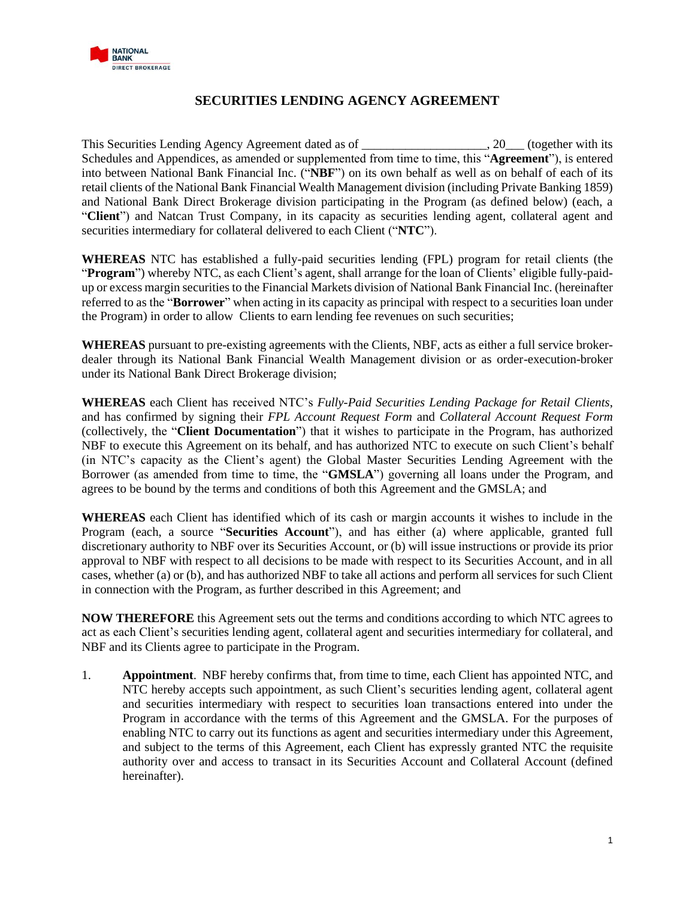

# **SECURITIES LENDING AGENCY AGREEMENT**

This Securities Lending Agency Agreement dated as of \_\_\_\_\_\_\_\_\_\_\_\_\_\_\_\_\_\_\_\_, 20\_\_\_ (together with its Schedules and Appendices, as amended or supplemented from time to time, this "**Agreement**"), is entered into between National Bank Financial Inc. ("**NBF**") on its own behalf as well as on behalf of each of its retail clients of the National Bank Financial Wealth Management division (including Private Banking 1859) and National Bank Direct Brokerage division participating in the Program (as defined below) (each, a "**Client**") and Natcan Trust Company, in its capacity as securities lending agent, collateral agent and securities intermediary for collateral delivered to each Client ("**NTC**").

**WHEREAS** NTC has established a fully-paid securities lending (FPL) program for retail clients (the "**Program**") whereby NTC, as each Client's agent, shall arrange for the loan of Clients' eligible fully-paidup or excess margin securities to the Financial Markets division of National Bank Financial Inc. (hereinafter referred to as the "**Borrower**" when acting in its capacity as principal with respect to a securities loan under the Program) in order to allow Clients to earn lending fee revenues on such securities;

**WHEREAS** pursuant to pre-existing agreements with the Clients, NBF, acts as either a full service brokerdealer through its National Bank Financial Wealth Management division or as order-execution-broker under its National Bank Direct Brokerage division;

**WHEREAS** each Client has received NTC's *Fully-Paid Securities Lending Package for Retail Clients*, and has confirmed by signing their *FPL Account Request Form* and *Collateral Account Request Form*  (collectively, the "**Client Documentation**") that it wishes to participate in the Program, has authorized NBF to execute this Agreement on its behalf, and has authorized NTC to execute on such Client's behalf (in NTC's capacity as the Client's agent) the Global Master Securities Lending Agreement with the Borrower (as amended from time to time, the "**GMSLA**") governing all loans under the Program, and agrees to be bound by the terms and conditions of both this Agreement and the GMSLA; and

**WHEREAS** each Client has identified which of its cash or margin accounts it wishes to include in the Program (each, a source "**Securities Account**"), and has either (a) where applicable, granted full discretionary authority to NBF over its Securities Account, or (b) will issue instructions or provide its prior approval to NBF with respect to all decisions to be made with respect to its Securities Account, and in all cases, whether (a) or (b), and has authorized NBF to take all actions and perform all services for such Client in connection with the Program, as further described in this Agreement; and

**NOW THEREFORE** this Agreement sets out the terms and conditions according to which NTC agrees to act as each Client's securities lending agent, collateral agent and securities intermediary for collateral, and NBF and its Clients agree to participate in the Program.

1. **Appointment**. NBF hereby confirms that, from time to time, each Client has appointed NTC, and NTC hereby accepts such appointment, as such Client's securities lending agent, collateral agent and securities intermediary with respect to securities loan transactions entered into under the Program in accordance with the terms of this Agreement and the GMSLA. For the purposes of enabling NTC to carry out its functions as agent and securities intermediary under this Agreement, and subject to the terms of this Agreement, each Client has expressly granted NTC the requisite authority over and access to transact in its Securities Account and Collateral Account (defined hereinafter).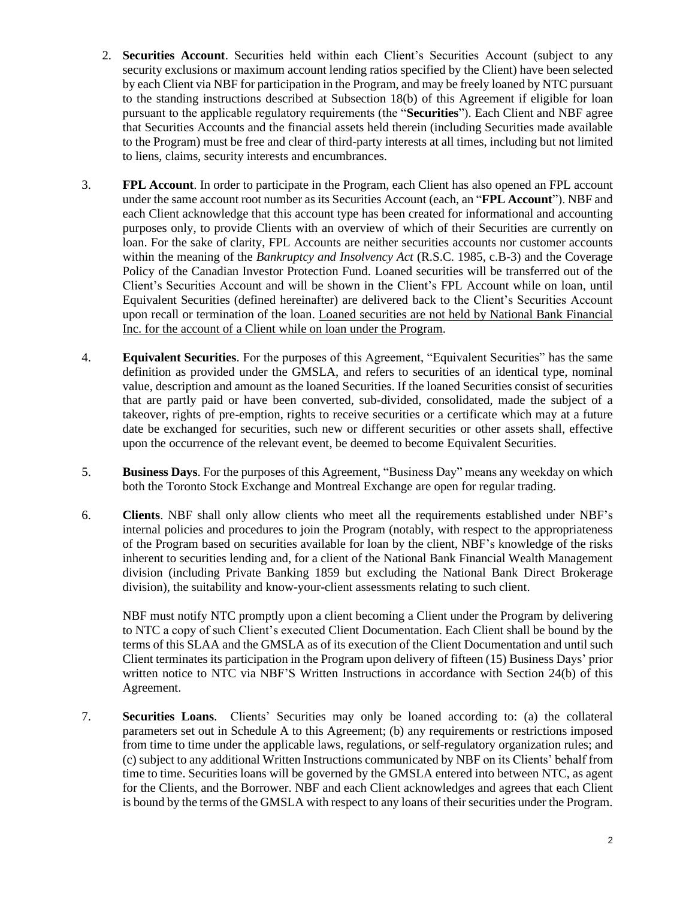- 2. **Securities Account**. Securities held within each Client's Securities Account (subject to any security exclusions or maximum account lending ratios specified by the Client) have been selected by each Client via NBF for participation in the Program, and may be freely loaned by NTC pursuant to the standing instructions described at Subsection [18](#page-5-0)[\(b\)](#page-5-1) of this Agreement if eligible for loan pursuant to the applicable regulatory requirements (the "**Securities**"). Each Client and NBF agree that Securities Accounts and the financial assets held therein (including Securities made available to the Program) must be free and clear of third-party interests at all times, including but not limited to liens, claims, security interests and encumbrances.
- 3. **FPL Account**. In order to participate in the Program, each Client has also opened an FPL account under the same account root number as its Securities Account (each, an "**FPL Account**"). NBF and each Client acknowledge that this account type has been created for informational and accounting purposes only, to provide Clients with an overview of which of their Securities are currently on loan. For the sake of clarity, FPL Accounts are neither securities accounts nor customer accounts within the meaning of the *Bankruptcy and Insolvency Act* (R.S.C. 1985, c.B-3) and the Coverage Policy of the Canadian Investor Protection Fund. Loaned securities will be transferred out of the Client's Securities Account and will be shown in the Client's FPL Account while on loan, until Equivalent Securities (defined hereinafter) are delivered back to the Client's Securities Account upon recall or termination of the loan. Loaned securities are not held by National Bank Financial Inc. for the account of a Client while on loan under the Program.
- 4. **Equivalent Securities**. For the purposes of this Agreement, "Equivalent Securities" has the same definition as provided under the GMSLA, and refers to securities of an identical type, nominal value, description and amount as the loaned Securities. If the loaned Securities consist of securities that are partly paid or have been converted, sub-divided, consolidated, made the subject of a takeover, rights of pre-emption, rights to receive securities or a certificate which may at a future date be exchanged for securities, such new or different securities or other assets shall, effective upon the occurrence of the relevant event, be deemed to become Equivalent Securities.
- 5. **Business Days**. For the purposes of this Agreement, "Business Day" means any weekday on which both the Toronto Stock Exchange and Montreal Exchange are open for regular trading.
- 6. **Clients**. NBF shall only allow clients who meet all the requirements established under NBF's internal policies and procedures to join the Program (notably, with respect to the appropriateness of the Program based on securities available for loan by the client, NBF's knowledge of the risks inherent to securities lending and, for a client of the National Bank Financial Wealth Management division (including Private Banking 1859 but excluding the National Bank Direct Brokerage division), the suitability and know-your-client assessments relating to such client.

NBF must notify NTC promptly upon a client becoming a Client under the Program by delivering to NTC a copy of such Client's executed Client Documentation. Each Client shall be bound by the terms of this SLAA and the GMSLA as of its execution of the Client Documentation and until such Client terminates its participation in the Program upon delivery of fifteen (15) Business Days' prior written notice to NTC via NBF'S Written Instructions in accordance with Section [24](#page-9-0)[\(b\)](#page-9-1) of this Agreement.

7. **Securities Loans**. Clients' Securities may only be loaned according to: (a) the collateral parameters set out in Schedule A to this Agreement; (b) any requirements or restrictions imposed from time to time under the applicable laws, regulations, or self-regulatory organization rules; and (c) subject to any additional Written Instructions communicated by NBF on its Clients' behalf from time to time. Securities loans will be governed by the GMSLA entered into between NTC, as agent for the Clients, and the Borrower. NBF and each Client acknowledges and agrees that each Client is bound by the terms of the GMSLA with respect to any loans of their securities under the Program.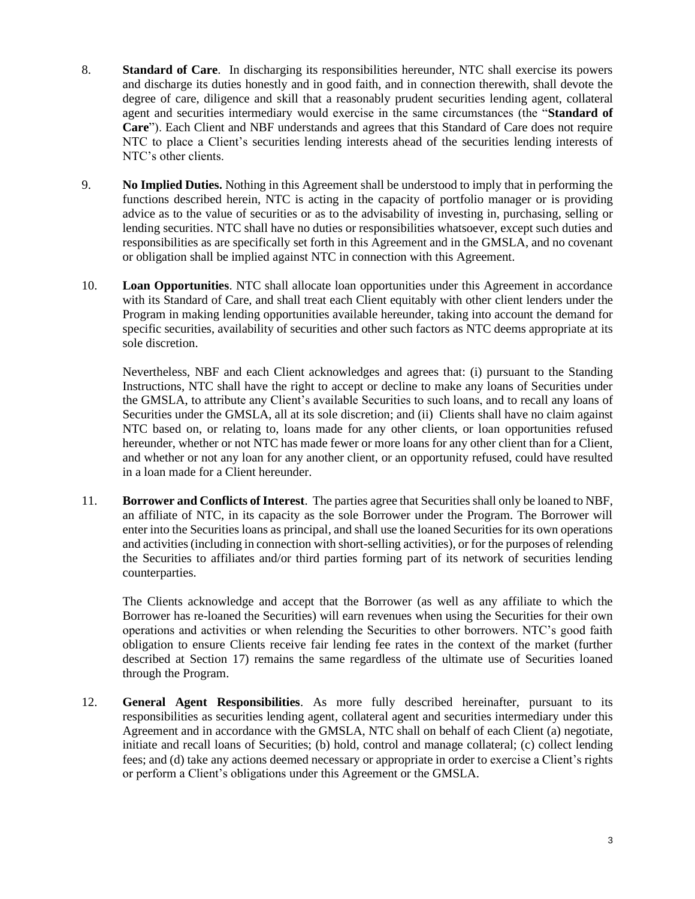- 8. **Standard of Care**. In discharging its responsibilities hereunder, NTC shall exercise its powers and discharge its duties honestly and in good faith, and in connection therewith, shall devote the degree of care, diligence and skill that a reasonably prudent securities lending agent, collateral agent and securities intermediary would exercise in the same circumstances (the "**Standard of Care**"). Each Client and NBF understands and agrees that this Standard of Care does not require NTC to place a Client's securities lending interests ahead of the securities lending interests of NTC's other clients.
- 9. **No Implied Duties.** Nothing in this Agreement shall be understood to imply that in performing the functions described herein, NTC is acting in the capacity of portfolio manager or is providing advice as to the value of securities or as to the advisability of investing in, purchasing, selling or lending securities. NTC shall have no duties or responsibilities whatsoever, except such duties and responsibilities as are specifically set forth in this Agreement and in the GMSLA, and no covenant or obligation shall be implied against NTC in connection with this Agreement.
- 10. **Loan Opportunities**. NTC shall allocate loan opportunities under this Agreement in accordance with its Standard of Care, and shall treat each Client equitably with other client lenders under the Program in making lending opportunities available hereunder, taking into account the demand for specific securities, availability of securities and other such factors as NTC deems appropriate at its sole discretion.

Nevertheless, NBF and each Client acknowledges and agrees that: (i) pursuant to the Standing Instructions, NTC shall have the right to accept or decline to make any loans of Securities under the GMSLA, to attribute any Client's available Securities to such loans, and to recall any loans of Securities under the GMSLA, all at its sole discretion; and (ii) Clients shall have no claim against NTC based on, or relating to, loans made for any other clients, or loan opportunities refused hereunder, whether or not NTC has made fewer or more loans for any other client than for a Client, and whether or not any loan for any another client, or an opportunity refused, could have resulted in a loan made for a Client hereunder.

11. **Borrower and Conflicts of Interest**. The parties agree that Securities shall only be loaned to NBF, an affiliate of NTC, in its capacity as the sole Borrower under the Program. The Borrower will enter into the Securities loans as principal, and shall use the loaned Securities for its own operations and activities (including in connection with short-selling activities), or for the purposes of relending the Securities to affiliates and/or third parties forming part of its network of securities lending counterparties.

The Clients acknowledge and accept that the Borrower (as well as any affiliate to which the Borrower has re-loaned the Securities) will earn revenues when using the Securities for their own operations and activities or when relending the Securities to other borrowers. NTC's good faith obligation to ensure Clients receive fair lending fee rates in the context of the market (further described at Section [17\)](#page-4-0) remains the same regardless of the ultimate use of Securities loaned through the Program.

12. **General Agent Responsibilities**. As more fully described hereinafter, pursuant to its responsibilities as securities lending agent, collateral agent and securities intermediary under this Agreement and in accordance with the GMSLA, NTC shall on behalf of each Client (a) negotiate, initiate and recall loans of Securities; (b) hold, control and manage collateral; (c) collect lending fees; and (d) take any actions deemed necessary or appropriate in order to exercise a Client's rights or perform a Client's obligations under this Agreement or the GMSLA.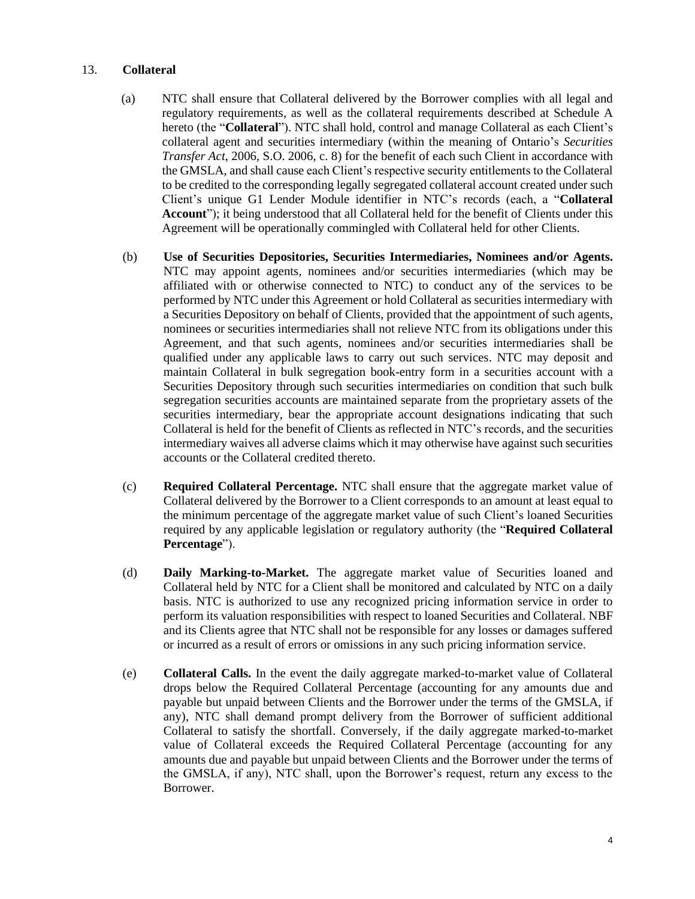#### <span id="page-3-0"></span>13. **Collateral**

- (a) NTC shall ensure that Collateral delivered by the Borrower complies with all legal and regulatory requirements, as well as the collateral requirements described at Schedule A hereto (the "**Collateral**"). NTC shall hold, control and manage Collateral as each Client's collateral agent and securities intermediary (within the meaning of Ontario's *Securities Transfer Act*, 2006, S.O. 2006, c. 8) for the benefit of each such Client in accordance with the GMSLA, and shall cause each Client's respective security entitlements to the Collateral to be credited to the corresponding legally segregated collateral account created under such Client's unique G1 Lender Module identifier in NTC's records (each, a "**Collateral Account**"); it being understood that all Collateral held for the benefit of Clients under this Agreement will be operationally commingled with Collateral held for other Clients.
- (b) **Use of Securities Depositories, Securities Intermediaries, Nominees and/or Agents.** NTC may appoint agents, nominees and/or securities intermediaries (which may be affiliated with or otherwise connected to NTC) to conduct any of the services to be performed by NTC under this Agreement or hold Collateral as securities intermediary with a Securities Depository on behalf of Clients, provided that the appointment of such agents, nominees or securities intermediaries shall not relieve NTC from its obligations under this Agreement, and that such agents, nominees and/or securities intermediaries shall be qualified under any applicable laws to carry out such services. NTC may deposit and maintain Collateral in bulk segregation book-entry form in a securities account with a Securities Depository through such securities intermediaries on condition that such bulk segregation securities accounts are maintained separate from the proprietary assets of the securities intermediary, bear the appropriate account designations indicating that such Collateral is held for the benefit of Clients as reflected in NTC's records, and the securities intermediary waives all adverse claims which it may otherwise have against such securities accounts or the Collateral credited thereto.
- (c) **Required Collateral Percentage.** NTC shall ensure that the aggregate market value of Collateral delivered by the Borrower to a Client corresponds to an amount at least equal to the minimum percentage of the aggregate market value of such Client's loaned Securities required by any applicable legislation or regulatory authority (the "**Required Collateral Percentage**").
- (d) **Daily Marking-to-Market.** The aggregate market value of Securities loaned and Collateral held by NTC for a Client shall be monitored and calculated by NTC on a daily basis. NTC is authorized to use any recognized pricing information service in order to perform its valuation responsibilities with respect to loaned Securities and Collateral. NBF and its Clients agree that NTC shall not be responsible for any losses or damages suffered or incurred as a result of errors or omissions in any such pricing information service.
- <span id="page-3-1"></span>(e) **Collateral Calls.** In the event the daily aggregate marked-to-market value of Collateral drops below the Required Collateral Percentage (accounting for any amounts due and payable but unpaid between Clients and the Borrower under the terms of the GMSLA, if any), NTC shall demand prompt delivery from the Borrower of sufficient additional Collateral to satisfy the shortfall. Conversely, if the daily aggregate marked-to-market value of Collateral exceeds the Required Collateral Percentage (accounting for any amounts due and payable but unpaid between Clients and the Borrower under the terms of the GMSLA, if any), NTC shall, upon the Borrower's request, return any excess to the Borrower.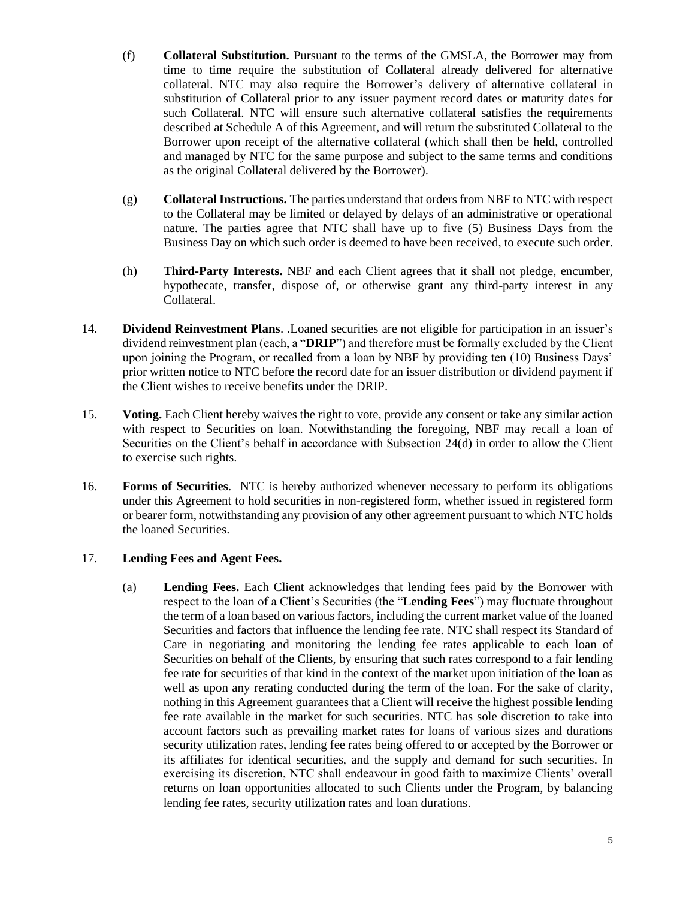- (f) **Collateral Substitution.** Pursuant to the terms of the GMSLA, the Borrower may from time to time require the substitution of Collateral already delivered for alternative collateral. NTC may also require the Borrower's delivery of alternative collateral in substitution of Collateral prior to any issuer payment record dates or maturity dates for such Collateral. NTC will ensure such alternative collateral satisfies the requirements described at Schedule A of this Agreement, and will return the substituted Collateral to the Borrower upon receipt of the alternative collateral (which shall then be held, controlled and managed by NTC for the same purpose and subject to the same terms and conditions as the original Collateral delivered by the Borrower).
- (g) **Collateral Instructions.** The parties understand that orders from NBF to NTC with respect to the Collateral may be limited or delayed by delays of an administrative or operational nature. The parties agree that NTC shall have up to five (5) Business Days from the Business Day on which such order is deemed to have been received, to execute such order.
- (h) **Third-Party Interests.** NBF and each Client agrees that it shall not pledge, encumber, hypothecate, transfer, dispose of, or otherwise grant any third-party interest in any Collateral.
- <span id="page-4-1"></span>14. **Dividend Reinvestment Plans**. .Loaned securities are not eligible for participation in an issuer's dividend reinvestment plan (each, a "**DRIP**") and therefore must be formally excluded by the Client upon joining the Program, or recalled from a loan by NBF by providing ten (10) Business Days' prior written notice to NTC before the record date for an issuer distribution or dividend payment if the Client wishes to receive benefits under the DRIP.
- 15. **Voting.** Each Client hereby waives the right to vote, provide any consent or take any similar action with respect to Securities on loan. Notwithstanding the foregoing, NBF may recall a loan of Securities on the Client's behalf in accordance with Subsection [24](#page-9-0)[\(d\)](#page-9-2) in order to allow the Client to exercise such rights.
- 16. **Forms of Securities**. NTC is hereby authorized whenever necessary to perform its obligations under this Agreement to hold securities in non-registered form, whether issued in registered form or bearer form, notwithstanding any provision of any other agreement pursuant to which NTC holds the loaned Securities.

## <span id="page-4-0"></span>17. **Lending Fees and Agent Fees.**

(a) **Lending Fees.** Each Client acknowledges that lending fees paid by the Borrower with respect to the loan of a Client's Securities (the "**Lending Fees**") may fluctuate throughout the term of a loan based on various factors, including the current market value of the loaned Securities and factors that influence the lending fee rate. NTC shall respect its Standard of Care in negotiating and monitoring the lending fee rates applicable to each loan of Securities on behalf of the Clients, by ensuring that such rates correspond to a fair lending fee rate for securities of that kind in the context of the market upon initiation of the loan as well as upon any rerating conducted during the term of the loan. For the sake of clarity, nothing in this Agreement guarantees that a Client will receive the highest possible lending fee rate available in the market for such securities. NTC has sole discretion to take into account factors such as prevailing market rates for loans of various sizes and durations security utilization rates, lending fee rates being offered to or accepted by the Borrower or its affiliates for identical securities, and the supply and demand for such securities. In exercising its discretion, NTC shall endeavour in good faith to maximize Clients' overall returns on loan opportunities allocated to such Clients under the Program, by balancing lending fee rates, security utilization rates and loan durations.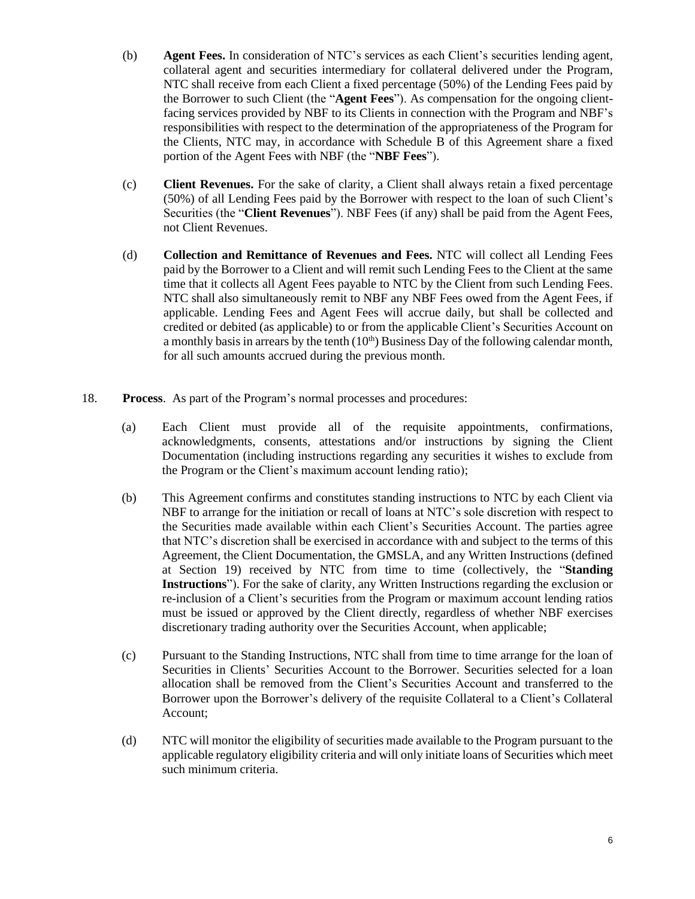- (b) **Agent Fees.** In consideration of NTC's services as each Client's securities lending agent, collateral agent and securities intermediary for collateral delivered under the Program, NTC shall receive from each Client a fixed percentage (50%) of the Lending Fees paid by the Borrower to such Client (the "**Agent Fees**"). As compensation for the ongoing clientfacing services provided by NBF to its Clients in connection with the Program and NBF's responsibilities with respect to the determination of the appropriateness of the Program for the Clients, NTC may, in accordance with Schedule B of this Agreement share a fixed portion of the Agent Fees with NBF (the "**NBF Fees**").
- (c) **Client Revenues.** For the sake of clarity, a Client shall always retain a fixed percentage (50%) of all Lending Fees paid by the Borrower with respect to the loan of such Client's Securities (the "**Client Revenues**"). NBF Fees (if any) shall be paid from the Agent Fees, not Client Revenues.
- (d) **Collection and Remittance of Revenues and Fees.** NTC will collect all Lending Fees paid by the Borrower to a Client and will remit such Lending Fees to the Client at the same time that it collects all Agent Fees payable to NTC by the Client from such Lending Fees. NTC shall also simultaneously remit to NBF any NBF Fees owed from the Agent Fees, if applicable. Lending Fees and Agent Fees will accrue daily, but shall be collected and credited or debited (as applicable) to or from the applicable Client's Securities Account on a monthly basis in arrears by the tenth  $(10<sup>th</sup>)$  Business Day of the following calendar month, for all such amounts accrued during the previous month.
- <span id="page-5-1"></span><span id="page-5-0"></span>18. **Process**. As part of the Program's normal processes and procedures:
	- (a) Each Client must provide all of the requisite appointments, confirmations, acknowledgments, consents, attestations and/or instructions by signing the Client Documentation (including instructions regarding any securities it wishes to exclude from the Program or the Client's maximum account lending ratio);
	- (b) This Agreement confirms and constitutes standing instructions to NTC by each Client via NBF to arrange for the initiation or recall of loans at NTC's sole discretion with respect to the Securities made available within each Client's Securities Account. The parties agree that NTC's discretion shall be exercised in accordance with and subject to the terms of this Agreement, the Client Documentation, the GMSLA, and any Written Instructions (defined at Section [19\)](#page-6-0) received by NTC from time to time (collectively, the "**Standing Instructions**"). For the sake of clarity, any Written Instructions regarding the exclusion or re-inclusion of a Client's securities from the Program or maximum account lending ratios must be issued or approved by the Client directly, regardless of whether NBF exercises discretionary trading authority over the Securities Account, when applicable;
	- (c) Pursuant to the Standing Instructions, NTC shall from time to time arrange for the loan of Securities in Clients' Securities Account to the Borrower. Securities selected for a loan allocation shall be removed from the Client's Securities Account and transferred to the Borrower upon the Borrower's delivery of the requisite Collateral to a Client's Collateral Account;
	- (d) NTC will monitor the eligibility of securities made available to the Program pursuant to the applicable regulatory eligibility criteria and will only initiate loans of Securities which meet such minimum criteria.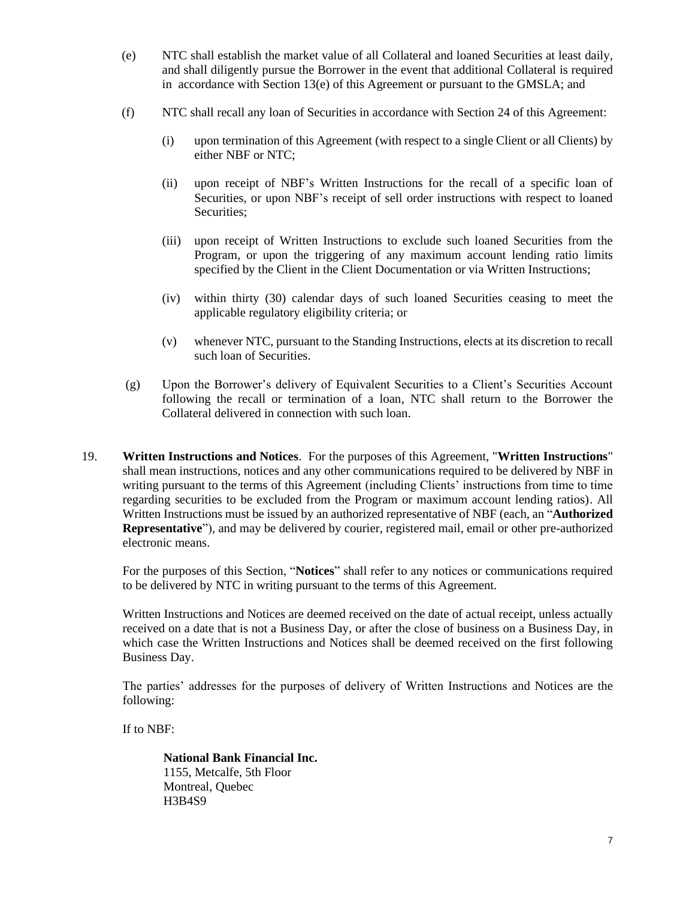- (e) NTC shall establish the market value of all Collateral and loaned Securities at least daily, and shall diligently pursue the Borrower in the event that additional Collateral is required in accordance with Section  $13(e)$  $13(e)$  of this Agreement or pursuant to the GMSLA; and
- (f) NTC shall recall any loan of Securities in accordance with Section [24](#page-9-0) of this Agreement:
	- (i) upon termination of this Agreement (with respect to a single Client or all Clients) by either NBF or NTC;
	- (ii) upon receipt of NBF's Written Instructions for the recall of a specific loan of Securities, or upon NBF's receipt of sell order instructions with respect to loaned Securities;
	- (iii) upon receipt of Written Instructions to exclude such loaned Securities from the Program, or upon the triggering of any maximum account lending ratio limits specified by the Client in the Client Documentation or via Written Instructions;
	- (iv) within thirty (30) calendar days of such loaned Securities ceasing to meet the applicable regulatory eligibility criteria; or
	- (v) whenever NTC, pursuant to the Standing Instructions, elects at its discretion to recall such loan of Securities.
- (g) Upon the Borrower's delivery of Equivalent Securities to a Client's Securities Account following the recall or termination of a loan, NTC shall return to the Borrower the Collateral delivered in connection with such loan.
- <span id="page-6-0"></span>19. **Written Instructions and Notices**. For the purposes of this Agreement, "**Written Instructions**" shall mean instructions, notices and any other communications required to be delivered by NBF in writing pursuant to the terms of this Agreement (including Clients' instructions from time to time regarding securities to be excluded from the Program or maximum account lending ratios). All Written Instructions must be issued by an authorized representative of NBF (each, an "**Authorized Representative**"), and may be delivered by courier, registered mail, email or other pre-authorized electronic means.

For the purposes of this Section, "**Notices**" shall refer to any notices or communications required to be delivered by NTC in writing pursuant to the terms of this Agreement.

Written Instructions and Notices are deemed received on the date of actual receipt, unless actually received on a date that is not a Business Day, or after the close of business on a Business Day, in which case the Written Instructions and Notices shall be deemed received on the first following Business Day.

The parties' addresses for the purposes of delivery of Written Instructions and Notices are the following:

If to NBF:

**National Bank Financial Inc.** 1155, Metcalfe, 5th Floor Montreal, Quebec H3B4S9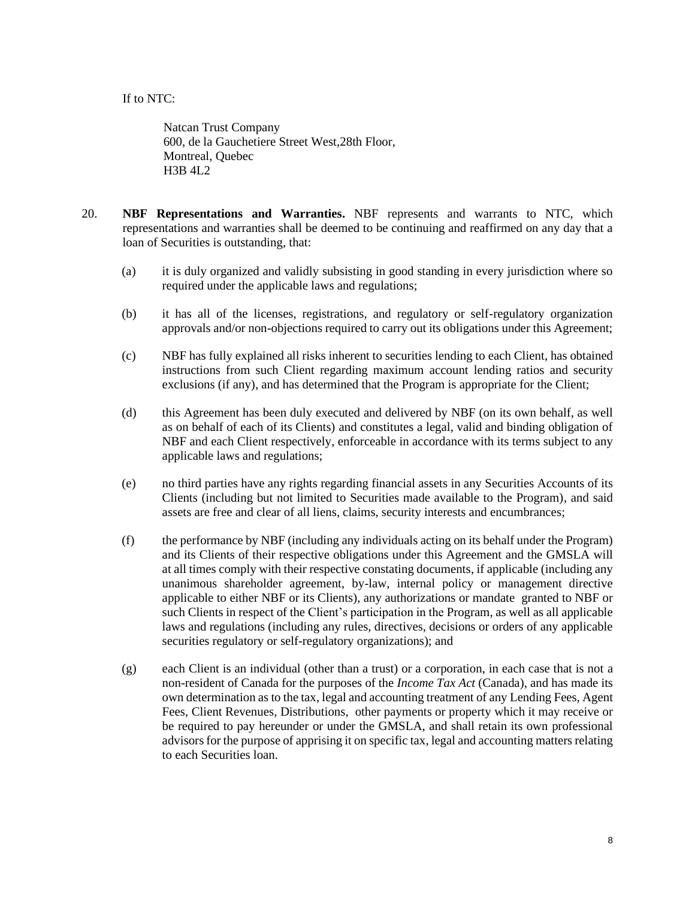If to NTC:

Natcan Trust Company 600, de la Gauchetiere Street West,28th Floor, Montreal, Quebec H3B 4L2

- 20. **NBF Representations and Warranties.** NBF represents and warrants to NTC, which representations and warranties shall be deemed to be continuing and reaffirmed on any day that a loan of Securities is outstanding, that:
	- (a) it is duly organized and validly subsisting in good standing in every jurisdiction where so required under the applicable laws and regulations;
	- (b) it has all of the licenses, registrations, and regulatory or self-regulatory organization approvals and/or non-objections required to carry out its obligations under this Agreement;
	- (c) NBF has fully explained all risks inherent to securities lending to each Client, has obtained instructions from such Client regarding maximum account lending ratios and security exclusions (if any), and has determined that the Program is appropriate for the Client;
	- (d) this Agreement has been duly executed and delivered by NBF (on its own behalf, as well as on behalf of each of its Clients) and constitutes a legal, valid and binding obligation of NBF and each Client respectively, enforceable in accordance with its terms subject to any applicable laws and regulations;
	- (e) no third parties have any rights regarding financial assets in any Securities Accounts of its Clients (including but not limited to Securities made available to the Program), and said assets are free and clear of all liens, claims, security interests and encumbrances;
	- (f) the performance by NBF (including any individuals acting on its behalf under the Program) and its Clients of their respective obligations under this Agreement and the GMSLA will at all times comply with their respective constating documents, if applicable (including any unanimous shareholder agreement, by-law, internal policy or management directive applicable to either NBF or its Clients), any authorizations or mandate granted to NBF or such Clients in respect of the Client's participation in the Program, as well as all applicable laws and regulations (including any rules, directives, decisions or orders of any applicable securities regulatory or self-regulatory organizations); and
	- (g) each Client is an individual (other than a trust) or a corporation, in each case that is not a non-resident of Canada for the purposes of the *Income Tax Act* (Canada), and has made its own determination as to the tax, legal and accounting treatment of any Lending Fees, Agent Fees, Client Revenues, Distributions, other payments or property which it may receive or be required to pay hereunder or under the GMSLA, and shall retain its own professional advisors for the purpose of apprising it on specific tax, legal and accounting matters relating to each Securities loan.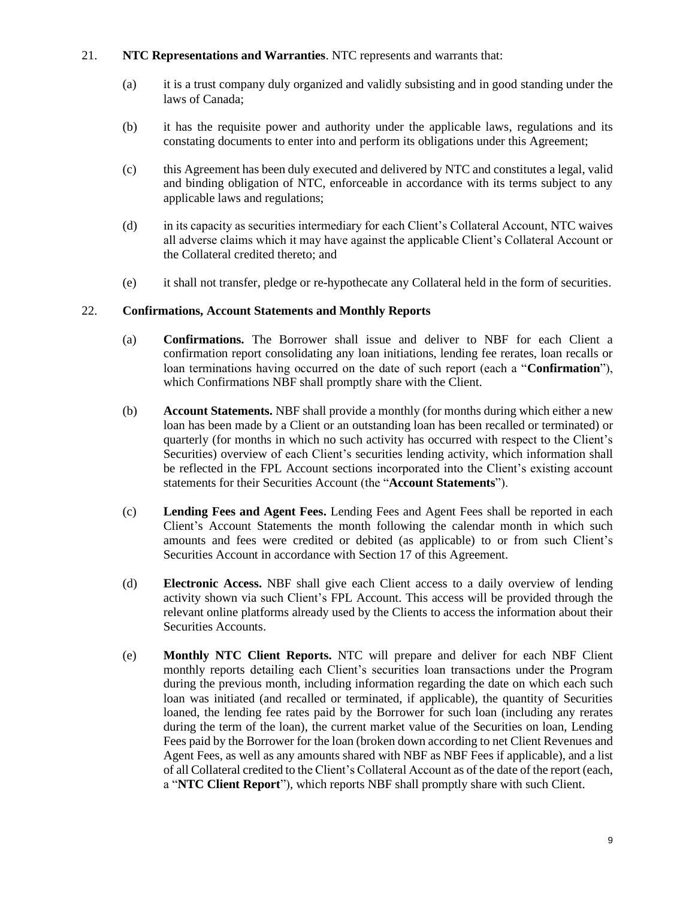### 21. **NTC Representations and Warranties**. NTC represents and warrants that:

- (a) it is a trust company duly organized and validly subsisting and in good standing under the laws of Canada;
- (b) it has the requisite power and authority under the applicable laws, regulations and its constating documents to enter into and perform its obligations under this Agreement;
- (c) this Agreement has been duly executed and delivered by NTC and constitutes a legal, valid and binding obligation of NTC, enforceable in accordance with its terms subject to any applicable laws and regulations;
- (d) in its capacity as securities intermediary for each Client's Collateral Account, NTC waives all adverse claims which it may have against the applicable Client's Collateral Account or the Collateral credited thereto; and
- (e) it shall not transfer, pledge or re-hypothecate any Collateral held in the form of securities.

### 22. **Confirmations, Account Statements and Monthly Reports**

- (a) **Confirmations.** The Borrower shall issue and deliver to NBF for each Client a confirmation report consolidating any loan initiations, lending fee rerates, loan recalls or loan terminations having occurred on the date of such report (each a "**Confirmation**"), which Confirmations NBF shall promptly share with the Client.
- (b) **Account Statements.** NBF shall provide a monthly (for months during which either a new loan has been made by a Client or an outstanding loan has been recalled or terminated) or quarterly (for months in which no such activity has occurred with respect to the Client's Securities) overview of each Client's securities lending activity, which information shall be reflected in the FPL Account sections incorporated into the Client's existing account statements for their Securities Account (the "**Account Statements**").
- (c) **Lending Fees and Agent Fees.** Lending Fees and Agent Fees shall be reported in each Client's Account Statements the month following the calendar month in which such amounts and fees were credited or debited (as applicable) to or from such Client's Securities Account in accordance with Sectio[n 17](#page-4-0) of this Agreement.
- (d) **Electronic Access.** NBF shall give each Client access to a daily overview of lending activity shown via such Client's FPL Account. This access will be provided through the relevant online platforms already used by the Clients to access the information about their Securities Accounts.
- (e) **Monthly NTC Client Reports.** NTC will prepare and deliver for each NBF Client monthly reports detailing each Client's securities loan transactions under the Program during the previous month, including information regarding the date on which each such loan was initiated (and recalled or terminated, if applicable), the quantity of Securities loaned, the lending fee rates paid by the Borrower for such loan (including any rerates during the term of the loan), the current market value of the Securities on loan, Lending Fees paid by the Borrower for the loan (broken down according to net Client Revenues and Agent Fees, as well as any amounts shared with NBF as NBF Fees if applicable), and a list of all Collateral credited to the Client's Collateral Account as of the date of the report (each, a "**NTC Client Report**"), which reports NBF shall promptly share with such Client.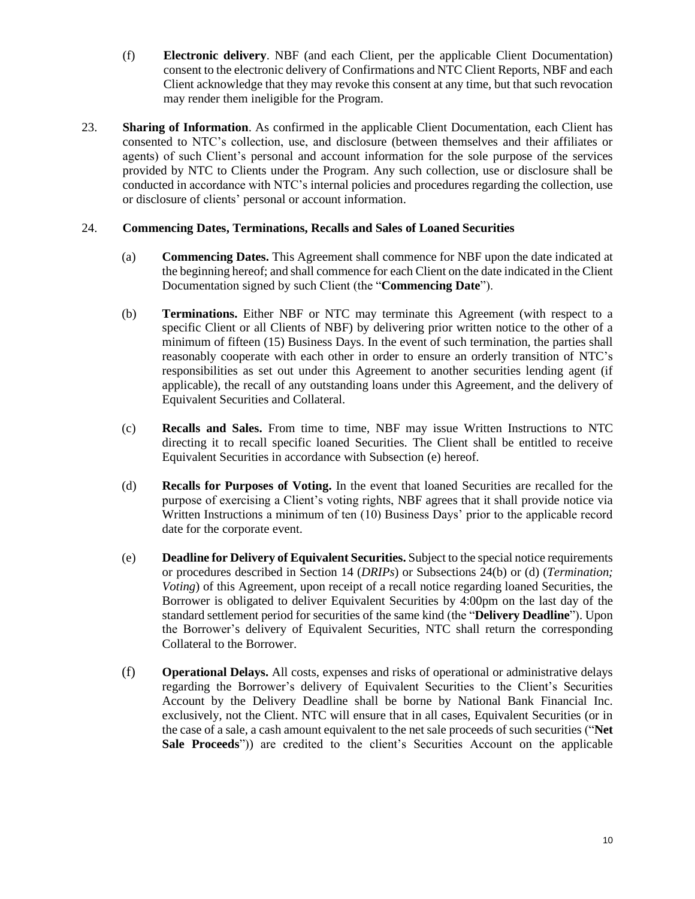- (f) **Electronic delivery**. NBF (and each Client, per the applicable Client Documentation) consent to the electronic delivery of Confirmations and NTC Client Reports, NBF and each Client acknowledge that they may revoke this consent at any time, but that such revocation may render them ineligible for the Program.
- 23. **Sharing of Information**. As confirmed in the applicable Client Documentation, each Client has consented to NTC's collection, use, and disclosure (between themselves and their affiliates or agents) of such Client's personal and account information for the sole purpose of the services provided by NTC to Clients under the Program. Any such collection, use or disclosure shall be conducted in accordance with NTC's internal policies and procedures regarding the collection, use or disclosure of clients' personal or account information.

### <span id="page-9-0"></span>24. **Commencing Dates, Terminations, Recalls and Sales of Loaned Securities**

- (a) **Commencing Dates.** This Agreement shall commence for NBF upon the date indicated at the beginning hereof; and shall commence for each Client on the date indicated in the Client Documentation signed by such Client (the "**Commencing Date**").
- <span id="page-9-1"></span>(b) **Terminations.** Either NBF or NTC may terminate this Agreement (with respect to a specific Client or all Clients of NBF) by delivering prior written notice to the other of a minimum of fifteen (15) Business Days. In the event of such termination, the parties shall reasonably cooperate with each other in order to ensure an orderly transition of NTC's responsibilities as set out under this Agreement to another securities lending agent (if applicable), the recall of any outstanding loans under this Agreement, and the delivery of Equivalent Securities and Collateral.
- (c) **Recalls and Sales.** From time to time, NBF may issue Written Instructions to NTC directing it to recall specific loaned Securities. The Client shall be entitled to receive Equivalent Securities in accordance with Subsection [\(e\)](#page-9-3) hereof.
- <span id="page-9-2"></span>(d) **Recalls for Purposes of Voting.** In the event that loaned Securities are recalled for the purpose of exercising a Client's voting rights, NBF agrees that it shall provide notice via Written Instructions a minimum of ten (10) Business Days' prior to the applicable record date for the corporate event.
- <span id="page-9-3"></span>(e) **Deadline for Delivery of Equivalent Securities.** Subject to the special notice requirements or procedures described in Section [14](#page-4-1) (*DRIPs*) or Subsections [24](#page-9-0)[\(b\)](#page-9-1) or [\(d\)](#page-9-2) (*Termination; Voting*) of this Agreement, upon receipt of a recall notice regarding loaned Securities, the Borrower is obligated to deliver Equivalent Securities by 4:00pm on the last day of the standard settlement period for securities of the same kind (the "**Delivery Deadline**"). Upon the Borrower's delivery of Equivalent Securities, NTC shall return the corresponding Collateral to the Borrower.
- (f) **Operational Delays.** All costs, expenses and risks of operational or administrative delays regarding the Borrower's delivery of Equivalent Securities to the Client's Securities Account by the Delivery Deadline shall be borne by National Bank Financial Inc. exclusively, not the Client. NTC will ensure that in all cases, Equivalent Securities (or in the case of a sale, a cash amount equivalent to the net sale proceeds of such securities ("**Net Sale Proceeds**")) are credited to the client's Securities Account on the applicable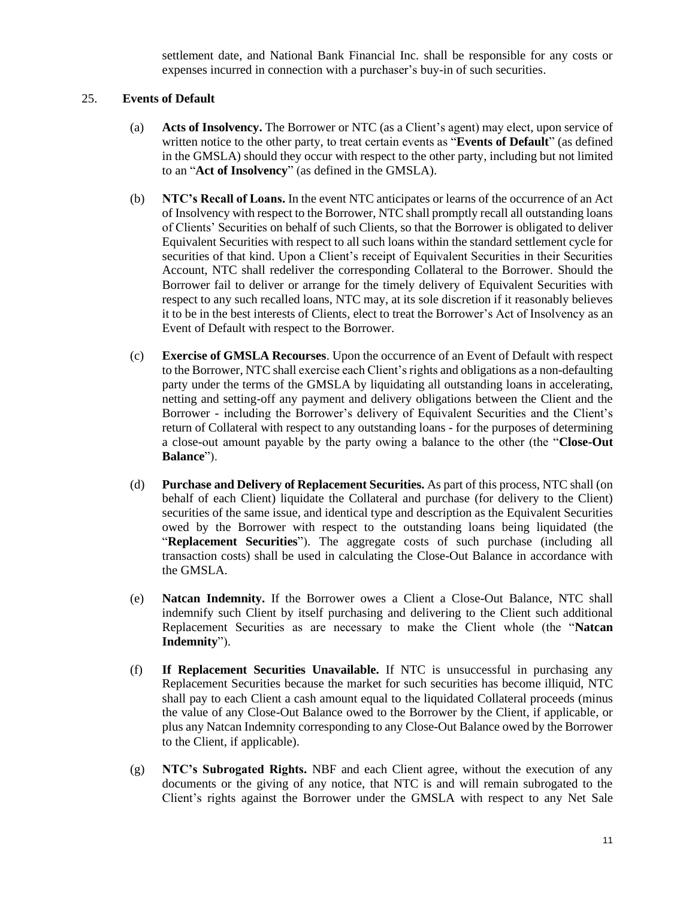settlement date, and National Bank Financial Inc. shall be responsible for any costs or expenses incurred in connection with a purchaser's buy-in of such securities.

#### <span id="page-10-0"></span>25. **Events of Default**

- (a) **Acts of Insolvency.** The Borrower or NTC (as a Client's agent) may elect, upon service of written notice to the other party, to treat certain events as "**Events of Default**" (as defined in the GMSLA) should they occur with respect to the other party, including but not limited to an "**Act of Insolvency**" (as defined in the GMSLA).
- (b) **NTC's Recall of Loans.** In the event NTC anticipates or learns of the occurrence of an Act of Insolvency with respect to the Borrower, NTC shall promptly recall all outstanding loans of Clients' Securities on behalf of such Clients, so that the Borrower is obligated to deliver Equivalent Securities with respect to all such loans within the standard settlement cycle for securities of that kind. Upon a Client's receipt of Equivalent Securities in their Securities Account, NTC shall redeliver the corresponding Collateral to the Borrower. Should the Borrower fail to deliver or arrange for the timely delivery of Equivalent Securities with respect to any such recalled loans, NTC may, at its sole discretion if it reasonably believes it to be in the best interests of Clients, elect to treat the Borrower's Act of Insolvency as an Event of Default with respect to the Borrower.
- (c) **Exercise of GMSLA Recourses**. Upon the occurrence of an Event of Default with respect to the Borrower, NTC shall exercise each Client's rights and obligations as a non-defaulting party under the terms of the GMSLA by liquidating all outstanding loans in accelerating, netting and setting-off any payment and delivery obligations between the Client and the Borrower - including the Borrower's delivery of Equivalent Securities and the Client's return of Collateral with respect to any outstanding loans - for the purposes of determining a close-out amount payable by the party owing a balance to the other (the "**Close-Out Balance**").
- (d) **Purchase and Delivery of Replacement Securities.** As part of this process, NTC shall (on behalf of each Client) liquidate the Collateral and purchase (for delivery to the Client) securities of the same issue, and identical type and description as the Equivalent Securities owed by the Borrower with respect to the outstanding loans being liquidated (the "**Replacement Securities**"). The aggregate costs of such purchase (including all transaction costs) shall be used in calculating the Close-Out Balance in accordance with the GMSLA.
- <span id="page-10-1"></span>(e) **Natcan Indemnity.** If the Borrower owes a Client a Close-Out Balance, NTC shall indemnify such Client by itself purchasing and delivering to the Client such additional Replacement Securities as are necessary to make the Client whole (the "**Natcan Indemnity**").
- (f) **If Replacement Securities Unavailable.** If NTC is unsuccessful in purchasing any Replacement Securities because the market for such securities has become illiquid, NTC shall pay to each Client a cash amount equal to the liquidated Collateral proceeds (minus the value of any Close-Out Balance owed to the Borrower by the Client, if applicable, or plus any Natcan Indemnity corresponding to any Close-Out Balance owed by the Borrower to the Client, if applicable).
- (g) **NTC's Subrogated Rights.** NBF and each Client agree, without the execution of any documents or the giving of any notice, that NTC is and will remain subrogated to the Client's rights against the Borrower under the GMSLA with respect to any Net Sale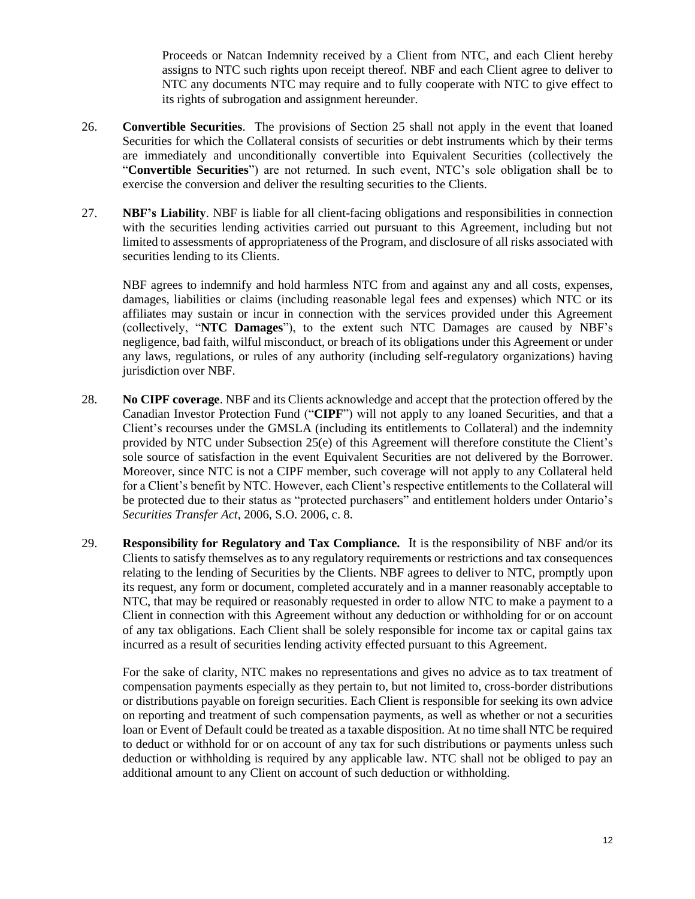Proceeds or Natcan Indemnity received by a Client from NTC, and each Client hereby assigns to NTC such rights upon receipt thereof. NBF and each Client agree to deliver to NTC any documents NTC may require and to fully cooperate with NTC to give effect to its rights of subrogation and assignment hereunder.

- 26. **Convertible Securities**. The provisions of Section [25](#page-10-0) shall not apply in the event that loaned Securities for which the Collateral consists of securities or debt instruments which by their terms are immediately and unconditionally convertible into Equivalent Securities (collectively the "**Convertible Securities**") are not returned. In such event, NTC's sole obligation shall be to exercise the conversion and deliver the resulting securities to the Clients.
- 27. **NBF's Liability**. NBF is liable for all client-facing obligations and responsibilities in connection with the securities lending activities carried out pursuant to this Agreement, including but not limited to assessments of appropriateness of the Program, and disclosure of all risks associated with securities lending to its Clients.

NBF agrees to indemnify and hold harmless NTC from and against any and all costs, expenses, damages, liabilities or claims (including reasonable legal fees and expenses) which NTC or its affiliates may sustain or incur in connection with the services provided under this Agreement (collectively, "**NTC Damages**"), to the extent such NTC Damages are caused by NBF's negligence, bad faith, wilful misconduct, or breach of its obligations under this Agreement or under any laws, regulations, or rules of any authority (including self-regulatory organizations) having jurisdiction over NBF.

- 28. **No CIPF coverage**. NBF and its Clients acknowledge and accept that the protection offered by the Canadian Investor Protection Fund ("**CIPF**") will not apply to any loaned Securities, and that a Client's recourses under the GMSLA (including its entitlements to Collateral) and the indemnity provided by NTC under Subsection [25](#page-10-0)[\(e\)](#page-10-1) of this Agreement will therefore constitute the Client's sole source of satisfaction in the event Equivalent Securities are not delivered by the Borrower. Moreover, since NTC is not a CIPF member, such coverage will not apply to any Collateral held for a Client's benefit by NTC. However, each Client's respective entitlements to the Collateral will be protected due to their status as "protected purchasers" and entitlement holders under Ontario's *Securities Transfer Act,* 2006, S.O. 2006, c. 8.
- 29. **Responsibility for Regulatory and Tax Compliance.** It is the responsibility of NBF and/or its Clients to satisfy themselves as to any regulatory requirements or restrictions and tax consequences relating to the lending of Securities by the Clients. NBF agrees to deliver to NTC, promptly upon its request, any form or document, completed accurately and in a manner reasonably acceptable to NTC, that may be required or reasonably requested in order to allow NTC to make a payment to a Client in connection with this Agreement without any deduction or withholding for or on account of any tax obligations. Each Client shall be solely responsible for income tax or capital gains tax incurred as a result of securities lending activity effected pursuant to this Agreement.

For the sake of clarity, NTC makes no representations and gives no advice as to tax treatment of compensation payments especially as they pertain to, but not limited to, cross-border distributions or distributions payable on foreign securities. Each Client is responsible for seeking its own advice on reporting and treatment of such compensation payments, as well as whether or not a securities loan or Event of Default could be treated as a taxable disposition. At no time shall NTC be required to deduct or withhold for or on account of any tax for such distributions or payments unless such deduction or withholding is required by any applicable law. NTC shall not be obliged to pay an additional amount to any Client on account of such deduction or withholding.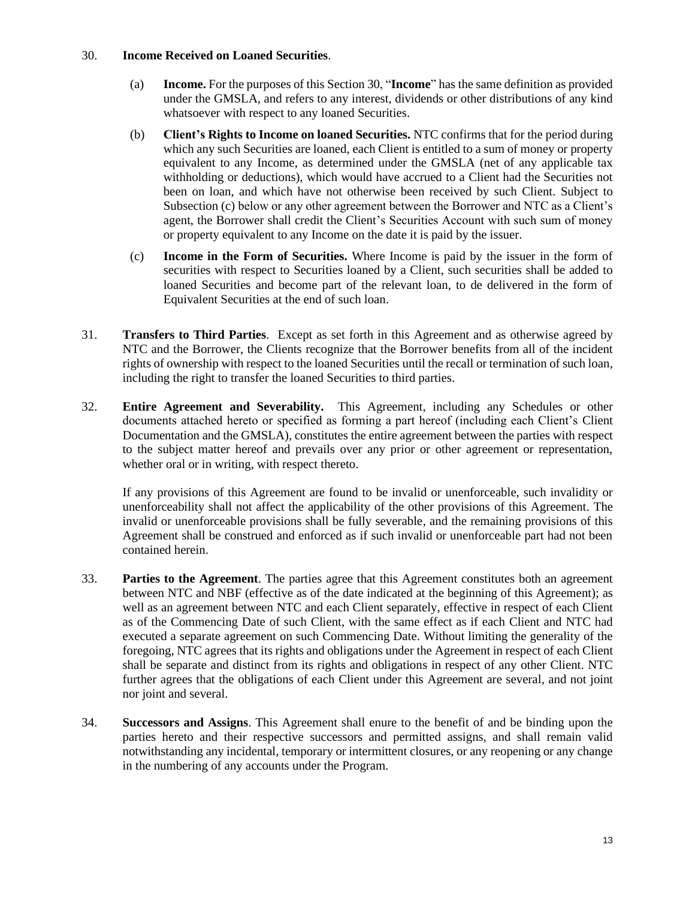#### <span id="page-12-0"></span>30. **Income Received on Loaned Securities**.

- (a) **Income.** For the purposes of this Sectio[n 30,](#page-12-0) "**Income**" has the same definition as provided under the GMSLA, and refers to any interest, dividends or other distributions of any kind whatsoever with respect to any loaned Securities.
- (b) **Client's Rights to Income on loaned Securities.** NTC confirms that for the period during which any such Securities are loaned, each Client is entitled to a sum of money or property equivalent to any Income, as determined under the GMSLA (net of any applicable tax withholding or deductions), which would have accrued to a Client had the Securities not been on loan, and which have not otherwise been received by such Client. Subject to Subsection [\(c\)](#page-12-1) below or any other agreement between the Borrower and NTC as a Client's agent, the Borrower shall credit the Client's Securities Account with such sum of money or property equivalent to any Income on the date it is paid by the issuer.
- <span id="page-12-1"></span>(c) **Income in the Form of Securities.** Where Income is paid by the issuer in the form of securities with respect to Securities loaned by a Client, such securities shall be added to loaned Securities and become part of the relevant loan, to de delivered in the form of Equivalent Securities at the end of such loan.
- 31. **Transfers to Third Parties**. Except as set forth in this Agreement and as otherwise agreed by NTC and the Borrower, the Clients recognize that the Borrower benefits from all of the incident rights of ownership with respect to the loaned Securities until the recall or termination of such loan, including the right to transfer the loaned Securities to third parties.
- 32. **Entire Agreement and Severability.** This Agreement, including any Schedules or other documents attached hereto or specified as forming a part hereof (including each Client's Client Documentation and the GMSLA), constitutes the entire agreement between the parties with respect to the subject matter hereof and prevails over any prior or other agreement or representation, whether oral or in writing, with respect thereto.

If any provisions of this Agreement are found to be invalid or unenforceable, such invalidity or unenforceability shall not affect the applicability of the other provisions of this Agreement. The invalid or unenforceable provisions shall be fully severable, and the remaining provisions of this Agreement shall be construed and enforced as if such invalid or unenforceable part had not been contained herein.

- 33. **Parties to the Agreement**. The parties agree that this Agreement constitutes both an agreement between NTC and NBF (effective as of the date indicated at the beginning of this Agreement); as well as an agreement between NTC and each Client separately, effective in respect of each Client as of the Commencing Date of such Client, with the same effect as if each Client and NTC had executed a separate agreement on such Commencing Date. Without limiting the generality of the foregoing, NTC agrees that its rights and obligations under the Agreement in respect of each Client shall be separate and distinct from its rights and obligations in respect of any other Client. NTC further agrees that the obligations of each Client under this Agreement are several, and not joint nor joint and several.
- 34. **Successors and Assigns**. This Agreement shall enure to the benefit of and be binding upon the parties hereto and their respective successors and permitted assigns, and shall remain valid notwithstanding any incidental, temporary or intermittent closures, or any reopening or any change in the numbering of any accounts under the Program.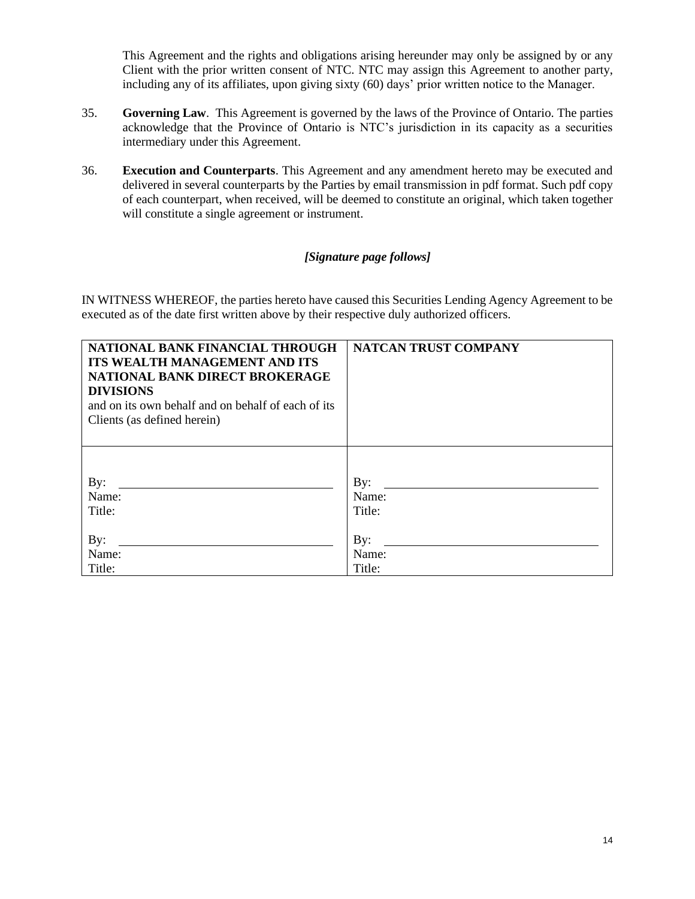This Agreement and the rights and obligations arising hereunder may only be assigned by or any Client with the prior written consent of NTC. NTC may assign this Agreement to another party, including any of its affiliates, upon giving sixty (60) days' prior written notice to the Manager.

- 35. **Governing Law**. This Agreement is governed by the laws of the Province of Ontario. The parties acknowledge that the Province of Ontario is NTC's jurisdiction in its capacity as a securities intermediary under this Agreement.
- 36. **Execution and Counterparts**. This Agreement and any amendment hereto may be executed and delivered in several counterparts by the Parties by email transmission in pdf format. Such pdf copy of each counterpart, when received, will be deemed to constitute an original, which taken together will constitute a single agreement or instrument.

# *[Signature page follows]*

IN WITNESS WHEREOF, the parties hereto have caused this Securities Lending Agency Agreement to be executed as of the date first written above by their respective duly authorized officers.

| NATIONAL BANK FINANCIAL THROUGH<br><b>ITS WEALTH MANAGEMENT AND ITS</b><br>NATIONAL BANK DIRECT BROKERAGE<br><b>DIVISIONS</b><br>and on its own behalf and on behalf of each of its<br>Clients (as defined herein) | NATCAN TRUST COMPANY |
|--------------------------------------------------------------------------------------------------------------------------------------------------------------------------------------------------------------------|----------------------|
| By:                                                                                                                                                                                                                | $\mathbf{By:}$       |
| Name:                                                                                                                                                                                                              | Name:                |
| Title:                                                                                                                                                                                                             | Title:               |
| By:                                                                                                                                                                                                                | $\mathbf{By:}$       |
| Name:                                                                                                                                                                                                              | Name:                |
| Title:                                                                                                                                                                                                             | Title:               |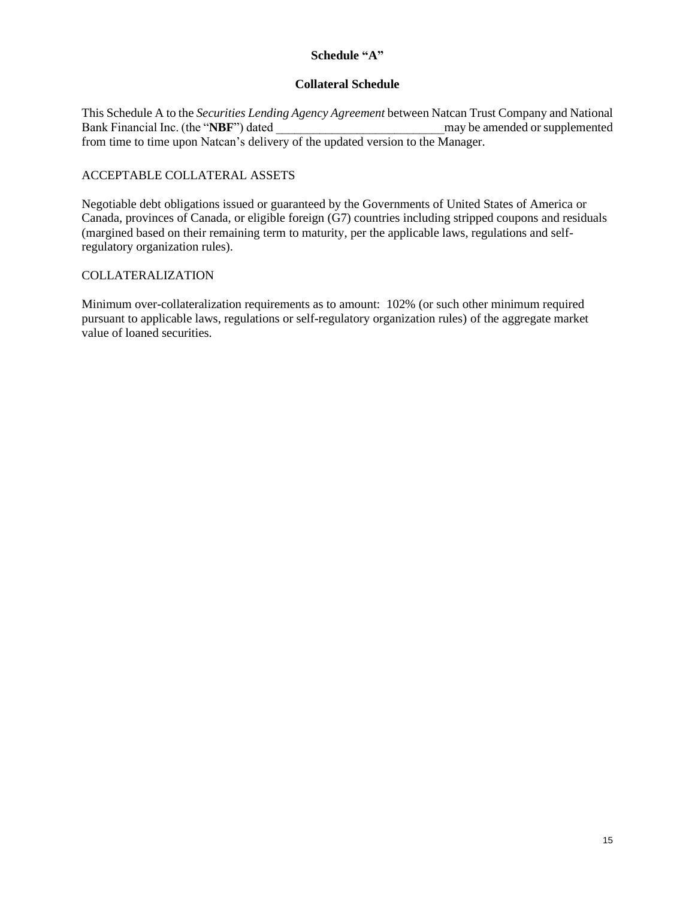### **Schedule "A"**

### **Collateral Schedule**

This Schedule A to the *Securities Lending Agency Agreement* between Natcan Trust Company and National Bank Financial Inc. (the "**NBF**") dated may be amended or supplemented from time to time upon Natcan's delivery of the updated version to the Manager.

# ACCEPTABLE COLLATERAL ASSETS

Negotiable debt obligations issued or guaranteed by the Governments of United States of America or Canada, provinces of Canada, or eligible foreign (G7) countries including stripped coupons and residuals (margined based on their remaining term to maturity, per the applicable laws, regulations and selfregulatory organization rules).

## COLLATERALIZATION

Minimum over-collateralization requirements as to amount: 102% (or such other minimum required pursuant to applicable laws, regulations or self-regulatory organization rules) of the aggregate market value of loaned securities.